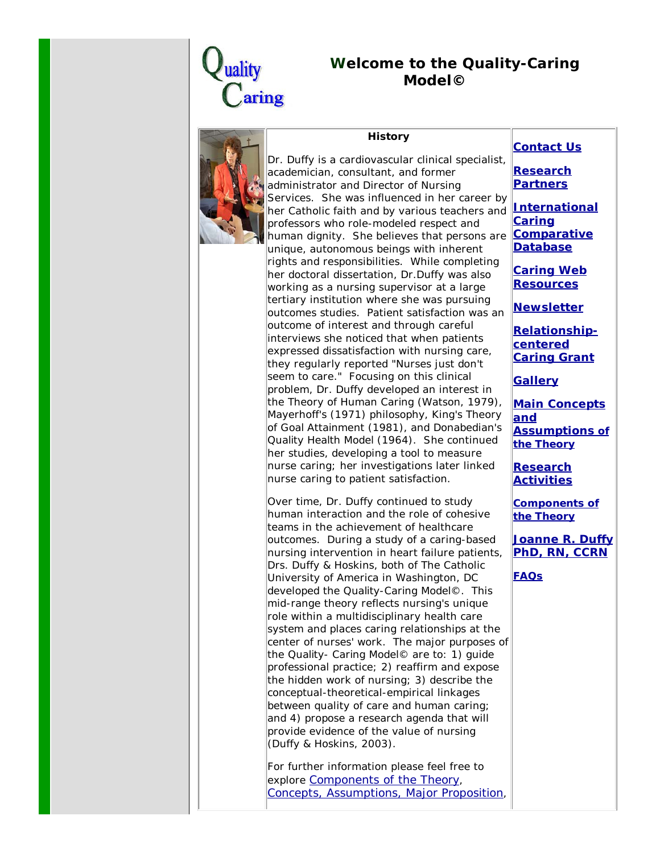

## *W***elcome to the** *Quality-Caring Model***©**



## **History**

Dr. Duffy is a cardiovascular clinical specialist, academician, consultant, and former administrator and Director of Nursing Services. She was influenced in her career by her Catholic faith and by various teachers and **International** professors who role-modeled respect and human dignity. She believes that persons are unique, autonomous beings with inherent rights and responsibilities. While completing her doctoral dissertation, Dr.Duffy was also working as a nursing supervisor at a large tertiary institution where she was pursuing outcomes studies. Patient satisfaction was an outcome of interest and through careful interviews she noticed that when patients expressed dissatisfaction with nursing care, they regularly reported "Nurses just don't seem to care." Focusing on this clinical problem, Dr. Duffy developed an interest in the *Theory of Human Caring* (Watson, 1979), Mayerhoff's (1971) philosophy, King's *Theory of Goal Attainment* (1981), and Donabedian's *Quality Health Model* (1964). She continued her studies, developing a tool to measure nurse caring; her investigations later linked nurse caring to patient satisfaction.

Over time, Dr. Duffy continued to study human interaction and the role of cohesive teams in the achievement of healthcare outcomes. During a study of a caring-based nursing intervention in heart failure patients, Drs. Duffy & Hoskins, both of The Catholic University of America in Washington, DC developed the *Quality-Caring Model*©. This mid-range theory reflects nursing's unique role within a multidisciplinary health care system and places caring relationships at the center of nurses' work. The major purposes of the *Quality- Caring Model*© are to: 1) guide professional practice; 2) reaffirm and expose the hidden work of nursing; 3) describe the conceptual-theoretical-empirical linkages between quality of care and human caring; and 4) propose a research agenda that will provide evidence of the value of nursing (Duffy & Hoskins, 2003).

For further information please feel free to explore Components of the Theory, Concepts, Assumptions, Major Proposition,

## **Contact Us**

**Research Partners**

**Caring Comparative Database**

**Caring Web Resources**

**Newsletter**

**Relationshipcentered Caring Grant**

**Gallery**

**Main Concepts and Assumptions of the Theory**

**Research Activities**

**Components of the Theory**

**Joanne R. Duffy PhD, RN, CCRN**

**FAQs**